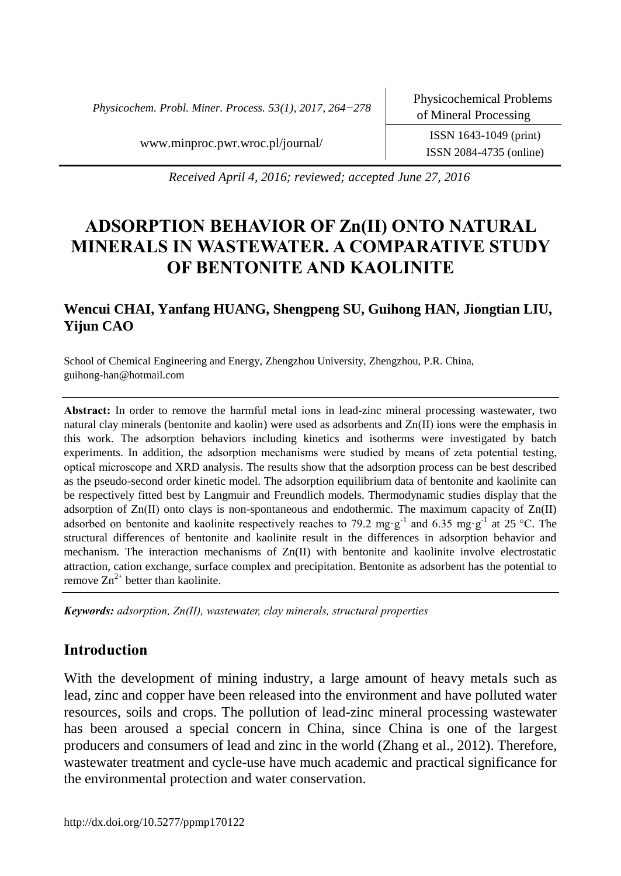*Physicochem. Probl. Miner. Process. 53(1), 2017, 264−278*

ISSN 2084-4735 (online)

www.minproc.pwr.wroc.pl/journal/ ISSN 1643-1049 (print)

*Received April 4, 2016; reviewed; accepted June 27, 2016*

# **ADSORPTION BEHAVIOR OF Zn(II) ONTO NATURAL MINERALS IN WASTEWATER. A COMPARATIVE STUDY OF BENTONITE AND KAOLINITE**

# **Wencui CHAI, Yanfang HUANG, Shengpeng SU, Guihong HAN, Jiongtian LIU, Yijun CAO**

School of Chemical Engineering and Energy, Zhengzhou University, Zhengzhou, P.R. China, guihong-han@hotmail.com

**Abstract:** In order to remove the harmful metal ions in lead-zinc mineral processing wastewater, two natural clay minerals (bentonite and kaolin) were used as adsorbents and Zn(II) ions were the emphasis in this work. The adsorption behaviors including kinetics and isotherms were investigated by batch experiments. In addition, the adsorption mechanisms were studied by means of zeta potential testing, optical microscope and XRD analysis. The results show that the adsorption process can be best described as the pseudo-second order kinetic model. The adsorption equilibrium data of bentonite and kaolinite can be respectively fitted best by Langmuir and Freundlich models. Thermodynamic studies display that the adsorption of Zn(II) onto clays is non-spontaneous and endothermic. The maximum capacity of Zn(II) adsorbed on bentonite and kaolinite respectively reaches to 79.2 mg·g<sup>-1</sup> and 6.35 mg·g<sup>-1</sup> at 25 °C. The structural differences of bentonite and kaolinite result in the differences in adsorption behavior and mechanism. The interaction mechanisms of Zn(II) with bentonite and kaolinite involve electrostatic attraction, cation exchange, surface complex and precipitation. Bentonite as adsorbent has the potential to remove  $\text{Zn}^{2+}$  better than kaolinite.

*Keywords: adsorption, Zn(II), wastewater, clay minerals, structural properties*

# **Introduction**

With the development of mining industry, a large amount of heavy metals such as lead, zinc and copper have been released into the environment and have polluted water resources, soils and crops. The pollution of lead-zinc mineral processing wastewater has been aroused a special concern in China, since China is one of the largest producers and consumers of lead and zinc in the world (Zhang et al., 2012). Therefore, wastewater treatment and cycle-use have much academic and practical significance for the environmental protection and water conservation.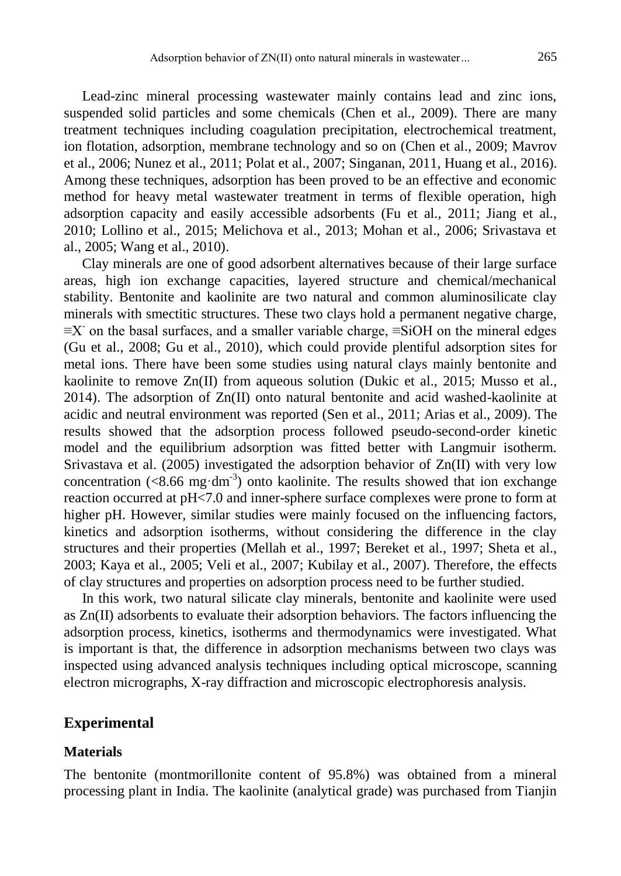Lead-zinc mineral processing wastewater mainly contains lead and zinc ions, suspended solid particles and some chemicals (Chen et al., 2009). There are many treatment techniques including coagulation precipitation, electrochemical treatment, ion flotation, adsorption, membrane technology and so on (Chen et al., 2009; Mavrov et al., 2006; Nunez et al., 2011; Polat et al., 2007; Singanan, 2011, Huang et al., 2016). Among these techniques, adsorption has been proved to be an effective and economic method for heavy metal wastewater treatment in terms of flexible operation, high adsorption capacity and easily accessible adsorbents (Fu et al., 2011; Jiang et al., 2010; Lollino et al., 2015; Melichova et al., 2013; Mohan et al., 2006; Srivastava et al., 2005; Wang et al., 2010).

Clay minerals are one of good adsorbent alternatives because of their large surface areas, high ion exchange capacities, layered structure and chemical/mechanical stability. Bentonite and kaolinite are two natural and common aluminosilicate clay minerals with smectitic structures. These two clays hold a permanent negative charge,  $\equiv$ X on the basal surfaces, and a smaller variable charge,  $\equiv$ SiOH on the mineral edges (Gu et al., 2008; Gu et al., 2010), which could provide plentiful adsorption sites for metal ions. There have been some studies using natural clays mainly bentonite and kaolinite to remove  $Zn(II)$  from aqueous solution (Dukic et al., 2015; Musso et al., 2014). The adsorption of Zn(II) onto natural bentonite and acid washed-kaolinite at acidic and neutral environment was reported (Sen et al., 2011; Arias et al., 2009). The results showed that the adsorption process followed pseudo-second-order kinetic model and the equilibrium adsorption was fitted better with Langmuir isotherm. Srivastava et al. (2005) investigated the adsorption behavior of Zn(II) with very low concentration  $(<8.66$  mg·dm<sup>-3</sup>) onto kaolinite. The results showed that ion exchange reaction occurred at pH<7.0 and inner-sphere surface complexes were prone to form at higher pH. However, similar studies were mainly focused on the influencing factors, kinetics and adsorption isotherms, without considering the difference in the clay structures and their properties (Mellah et al., 1997; Bereket et al., 1997; Sheta et al., 2003; Kaya et al., 2005; Veli et al., 2007; Kubilay et al., 2007). Therefore, the effects of clay structures and properties on adsorption process need to be further studied.

In this work, two natural silicate clay minerals, bentonite and kaolinite were used as Zn(II) adsorbents to evaluate their adsorption behaviors. The factors influencing the adsorption process, kinetics, isotherms and thermodynamics were investigated. What is important is that, the difference in adsorption mechanisms between two clays was inspected using advanced analysis techniques including optical microscope, scanning electron micrographs, X-ray diffraction and microscopic electrophoresis analysis.

#### **Experimental**

#### **Materials**

The bentonite (montmorillonite content of 95.8%) was obtained from a mineral processing plant in India. The kaolinite (analytical grade) was purchased from Tianjin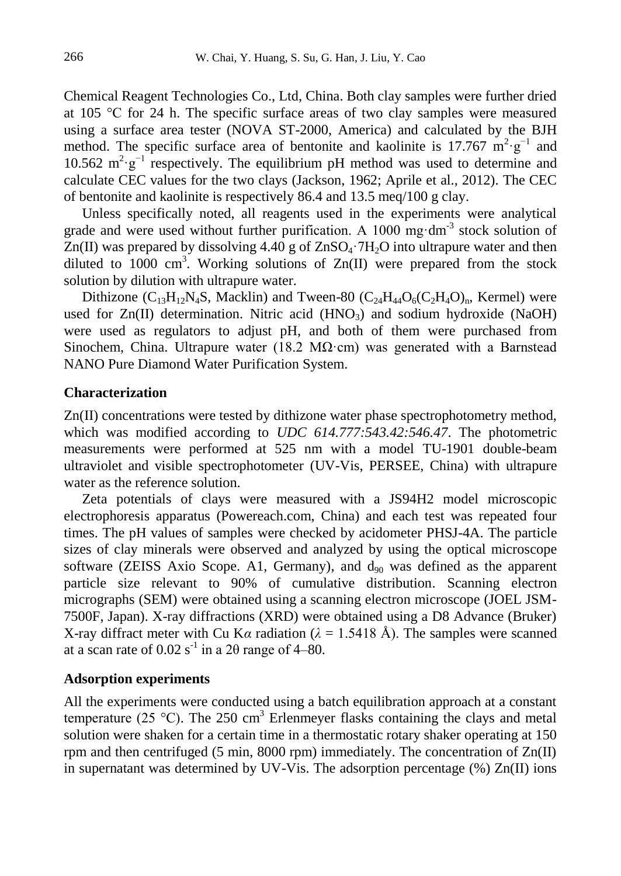Chemical Reagent Technologies Co., Ltd, China. Both clay samples were further dried at 105 °C for 24 h. The specific surface areas of two clay samples were measured using a surface area tester (NOVA ST-2000, America) and calculated by the BJH method. The specific surface area of bentonite and kaolinite is 17.767  $m^2 \cdot g^{-1}$  and 10.562  $m^2 g^{-1}$  respectively. The equilibrium pH method was used to determine and calculate CEC values for the two clays (Jackson, 1962; Aprile et al., 2012). The CEC of bentonite and kaolinite is respectively 86.4 and 13.5 meq/100 g clay.

Unless specifically noted, all reagents used in the experiments were analytical grade and were used without further purification. A  $1000$  mg·dm<sup>-3</sup> stock solution of  $Zn(II)$  was prepared by dissolving 4.40 g of  $ZnSO<sub>4</sub>·7H<sub>2</sub>O$  into ultrapure water and then diluted to 1000 cm<sup>3</sup>. Working solutions of  $Zn(II)$  were prepared from the stock solution by dilution with ultrapure water.

Dithizone  $(C_{13}H_{12}N_4S$ , Macklin) and Tween-80  $(C_{24}H_{44}O_6(C_2H_4O)_n$ , Kermel) were used for  $Zn(II)$  determination. Nitric acid  $(HNO<sub>3</sub>)$  and sodium hydroxide (NaOH) were used as regulators to adjust pH, and both of them were purchased from Sinochem, China. Ultrapure water (18.2 M $\Omega$ ·cm) was generated with a Barnstead NANO Pure Diamond Water Purification System.

#### **Characterization**

Zn(II) concentrations were tested by dithizone water phase spectrophotometry method, which was modified according to *UDC 614.777:543.42:546.47*. The photometric measurements were performed at 525 nm with a model TU-1901 double-beam ultraviolet and visible spectrophotometer (UV-Vis, PERSEE, China) with ultrapure water as the reference solution.

Zeta potentials of clays were measured with a JS94H2 model microscopic electrophoresis apparatus (Powereach.com, China) and each test was repeated four times. The pH values of samples were checked by acidometer PHSJ-4A. The particle sizes of clay minerals were observed and analyzed by using the optical microscope software (ZEISS Axio Scope. A1, Germany), and  $d_{90}$  was defined as the apparent particle size relevant to 90% of cumulative distribution. Scanning electron micrographs (SEM) were obtained using a scanning electron microscope (JOEL JSM-7500F, Japan). X-ray diffractions (XRD) were obtained using a D8 Advance (Bruker) X-ray diffract meter with Cu K $\alpha$  radiation ( $\lambda = 1.5418$  Å). The samples were scanned at a scan rate of  $0.02$  s<sup>-1</sup> in a 2 $\theta$  range of 4–80.

#### **Adsorption experiments**

All the experiments were conducted using a batch equilibration approach at a constant temperature (25 °C). The 250 cm<sup>3</sup> Erlenmeyer flasks containing the clays and metal solution were shaken for a certain time in a thermostatic rotary shaker operating at 150 rpm and then centrifuged (5 min, 8000 rpm) immediately. The concentration of  $Zn(II)$ in supernatant was determined by UV-Vis. The adsorption percentage (%) Zn(II) ions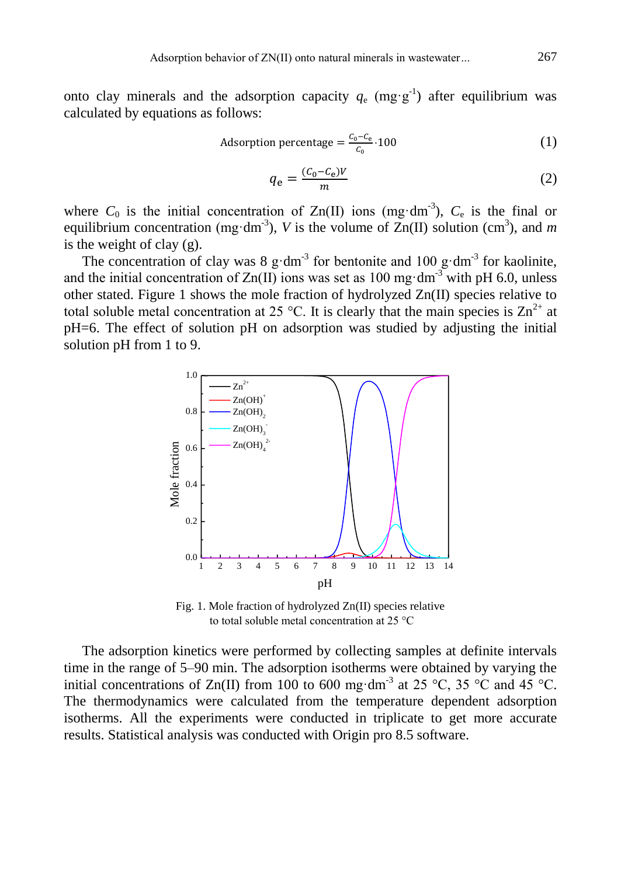onto clay minerals and the adsorption capacity  $q_e$  (mg·g<sup>-1</sup>) after equilibrium was calculated by equations as follows:

Adsorption percentage = 
$$
\frac{C_0 - C_e}{C_0} \cdot 100
$$
 (1)

$$
q_{\rm e} = \frac{(c_0 - c_{\rm e})V}{m} \tag{2}
$$

where  $C_0$  is the initial concentration of  $Zn(II)$  ions (mg·dm<sup>-3</sup>),  $C_e$  is the final or equilibrium concentration (mg·dm<sup>-3</sup>), *V* is the volume of  $\text{Zn(II)}$  solution (cm<sup>3</sup>), and *m* is the weight of clay  $(g)$ .

The concentration of clay was 8  $g \cdot dm^{-3}$  for bentonite and 100  $g \cdot dm^{-3}$  for kaolinite, and the initial concentration of  $Zn(II)$  ions was set as 100 mg·dm<sup>-3</sup> with pH 6.0, unless other stated. Figure 1 shows the mole fraction of hydrolyzed Zn(II) species relative to total soluble metal concentration at 25 °C. It is clearly that the main species is  $\text{Zn}^{2+}$  at pH=6. The effect of solution pH on adsorption was studied by adjusting the initial solution pH from 1 to 9.



Fig. 1. Mole fraction of hydrolyzed Zn(II) species relative to total soluble metal concentration at 25 °C

The adsorption kinetics were performed by collecting samples at definite intervals time in the range of 5–90 min. The adsorption isotherms were obtained by varying the initial concentrations of Zn(II) from 100 to 600 mg·dm<sup>-3</sup> at 25 °C, 35 °C and 45 °C. The thermodynamics were calculated from the temperature dependent adsorption isotherms. All the experiments were conducted in triplicate to get more accurate results. Statistical analysis was conducted with Origin pro 8.5 software.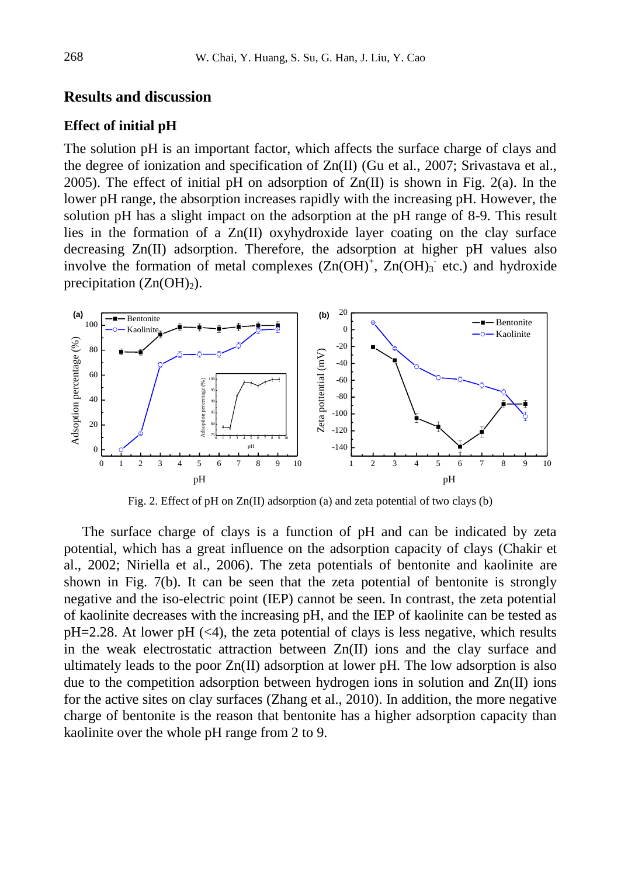### **Results and discussion**

#### **Effect of initial pH**

The solution pH is an important factor, which affects the surface charge of clays and the degree of ionization and specification of Zn(II) (Gu et al., 2007; Srivastava et al., 2005). The effect of initial pH on adsorption of  $Zn(II)$  is shown in Fig. 2(a). In the lower pH range, the absorption increases rapidly with the increasing pH. However, the solution pH has a slight impact on the adsorption at the pH range of 8-9. This result lies in the formation of a  $Zn(II)$  oxyhydroxide layer coating on the clay surface decreasing Zn(II) adsorption. Therefore, the adsorption at higher pH values also involve the formation of metal complexes  $(Zn(OH)^+, Zn(OH)_3$  etc.) and hydroxide precipitation  $(Zn(OH)<sub>2</sub>)$ .



Fig. 2. Effect of pH on Zn(II) adsorption (a) and zeta potential of two clays (b)

The surface charge of clays is a function of pH and can be indicated by zeta potential, which has a great influence on the adsorption capacity of clays (Chakir et al., 2002; Niriella et al., 2006). The zeta potentials of bentonite and kaolinite are shown in Fig. 7(b). It can be seen that the zeta potential of bentonite is strongly negative and the iso-electric point (IEP) cannot be seen. In contrast, the zeta potential of kaolinite decreases with the increasing pH, and the IEP of kaolinite can be tested as  $pH=2.28$ . At lower  $pH \leq 4$ , the zeta potential of clays is less negative, which results in the weak electrostatic attraction between Zn(II) ions and the clay surface and ultimately leads to the poor  $Zn(II)$  adsorption at lower pH. The low adsorption is also due to the competition adsorption between hydrogen ions in solution and  $Zn(\Pi)$  ions for the active sites on clay surfaces (Zhang et al., 2010). In addition, the more negative charge of bentonite is the reason that bentonite has a higher adsorption capacity than kaolinite over the whole pH range from 2 to 9.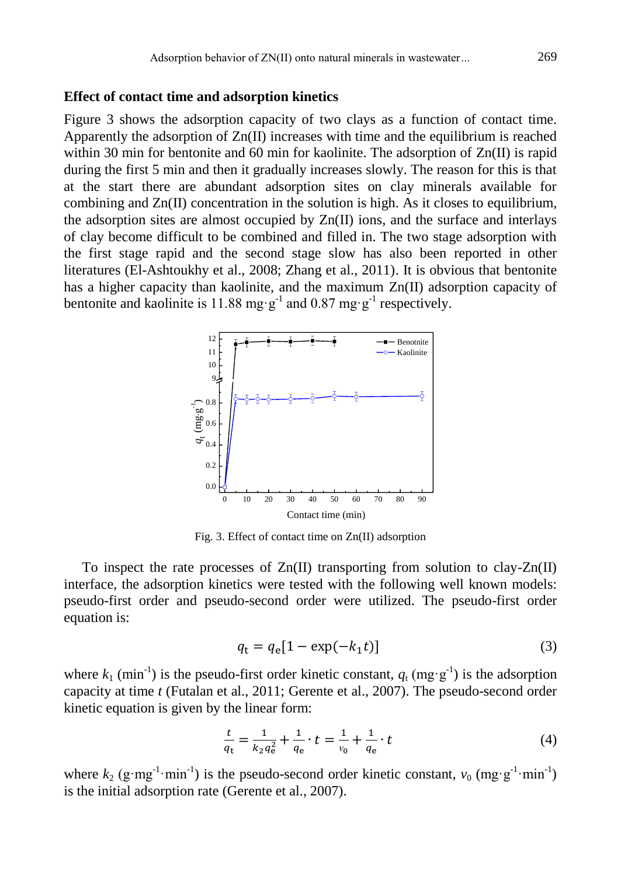#### **Effect of contact time and adsorption kinetics**

Figure 3 shows the adsorption capacity of two clays as a function of contact time. Apparently the adsorption of  $Zn(\Pi)$  increases with time and the equilibrium is reached within 30 min for bentonite and 60 min for kaolinite. The adsorption of  $Zn(\text{II})$  is rapid during the first 5 min and then it gradually increases slowly. The reason for this is that at the start there are abundant adsorption sites on clay minerals available for combining and  $Zn(\Pi)$  concentration in the solution is high. As it closes to equilibrium, the adsorption sites are almost occupied by  $Zn(\Pi)$  ions, and the surface and interlays of clay become difficult to be combined and filled in. The two stage adsorption with the first stage rapid and the second stage slow has also been reported in other literatures (El-Ashtoukhy et al., 2008; Zhang et al., 2011). It is obvious that bentonite has a higher capacity than kaolinite, and the maximum Zn(II) adsorption capacity of bentonite and kaolinite is 11.88 mg·g<sup>-1</sup> and 0.87 mg·g<sup>-1</sup> respectively.



Fig. 3. Effect of contact time on Zn(II) adsorption

To inspect the rate processes of  $Zn(II)$  transporting from solution to clay- $Zn(II)$ interface, the adsorption kinetics were tested with the following well known models: pseudo-first order and pseudo-second order were utilized. The pseudo-first order equation is:

$$
q_t = q_e[1 - \exp(-k_1 t)]\tag{3}
$$

where  $k_1$  (min<sup>-1</sup>) is the pseudo-first order kinetic constant,  $q_t$  (mg·g<sup>-1</sup>) is the adsorption capacity at time *t* (Futalan et al., 2011; Gerente et al., 2007). The pseudo-second order kinetic equation is given by the linear form:

$$
\frac{t}{q_t} = \frac{1}{k_2 q_e^2} + \frac{1}{q_e} \cdot t = \frac{1}{v_0} + \frac{1}{q_e} \cdot t \tag{4}
$$

where  $k_2$  (g·mg<sup>-1</sup>·min<sup>-1</sup>) is the pseudo-second order kinetic constant,  $v_0$  (mg·g<sup>-1</sup>·min<sup>-1</sup>) is the initial adsorption rate (Gerente et al., 2007).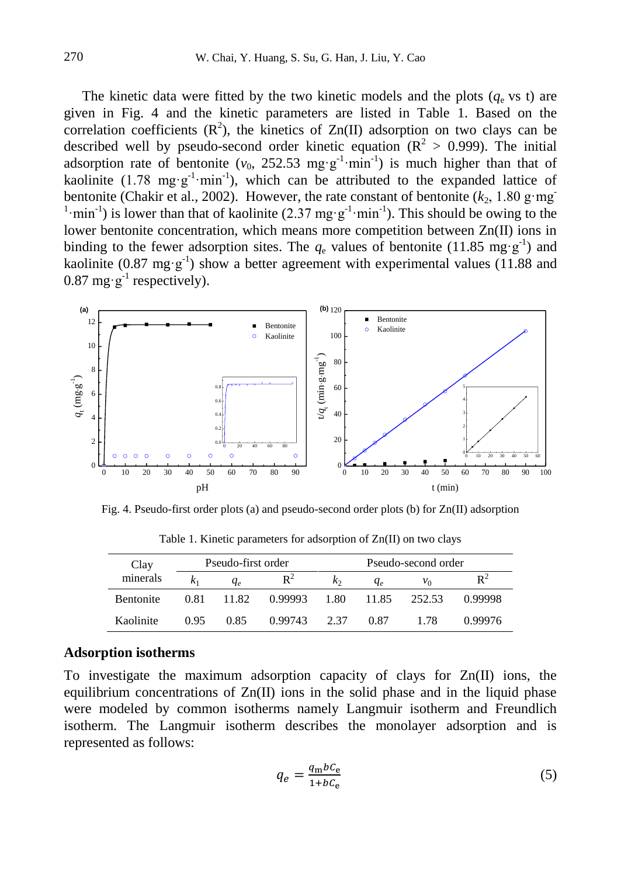The kinetic data were fitted by the two kinetic models and the plots  $(q_e \text{ vs } t)$  are given in Fig. 4 and the kinetic parameters are listed in Table 1. Based on the correlation coefficients  $(R^2)$ , the kinetics of  $Zn(II)$  adsorption on two clays can be described well by pseudo-second order kinetic equation ( $\mathbb{R}^2 > 0.999$ ). The initial adsorption rate of bentonite  $(v_0, 252.53 \text{ mg} \cdot \text{g}^{-1} \cdot \text{min}^{-1})$  is much higher than that of kaolinite (1.78 mg·g<sup>-1</sup>·min<sup>-1</sup>), which can be attributed to the expanded lattice of bentonite (Chakir et al., 2002). However, the rate constant of bentonite  $(k_2, 1.80 \text{ g} \cdot \text{mg})$ <sup>1</sup>·min<sup>-1</sup>) is lower than that of kaolinite (2.37 mg·g<sup>-1</sup>·min<sup>-1</sup>). This should be owing to the lower bentonite concentration, which means more competition between Zn(II) ions in binding to the fewer adsorption sites. The  $q_e$  values of bentonite (11.85 mg·g<sup>-1</sup>) and kaolinite (0.87 mg·g<sup>-1</sup>) show a better agreement with experimental values (11.88 and 0.87 mg·g<sup>-1</sup> respectively).



Fig. 4. Pseudo-first order plots (a) and pseudo-second order plots (b) for Zn(II) adsorption

| Clay<br>minerals | Pseudo-first order |       |         | Pseudo-second order |       |        |         |
|------------------|--------------------|-------|---------|---------------------|-------|--------|---------|
|                  | K1                 | $q_e$ | $R^2$   | K2                  | $q_e$ | $v_0$  | D٠      |
| <b>Bentonite</b> | 0.81               | 11.82 | 0.99993 | 1.80                | 11.85 | 252.53 | 0.99998 |
| Kaolinite        | 0.95               | 0.85  | 0.99743 | 2.37                | 0.87  | 178    | 0.99976 |

Table 1. Kinetic parameters for adsorption of Zn(II) on two clays

#### **Adsorption isotherms**

To investigate the maximum adsorption capacity of clays for  $Zn(\Pi)$  ions, the equilibrium concentrations of Zn(II) ions in the solid phase and in the liquid phase were modeled by common isotherms namely Langmuir isotherm and Freundlich isotherm. The Langmuir isotherm describes the monolayer adsorption and is represented as follows:

$$
q_e = \frac{q_{\rm m}b_c}{1 + b_c} \tag{5}
$$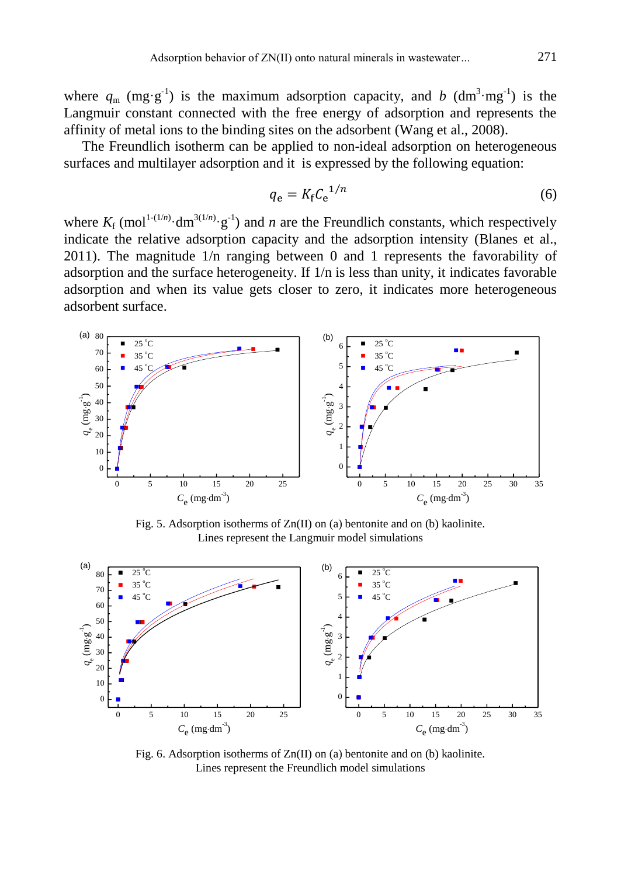where  $q_m$  (mg·g<sup>-1</sup>) is the maximum adsorption capacity, and *b* (dm<sup>3</sup>·mg<sup>-1</sup>) is the Langmuir constant connected with the free energy of adsorption and represents the affinity of metal ions to the binding sites on the adsorbent (Wang et al., 2008).

The Freundlich isotherm can be applied to non-ideal adsorption on heterogeneous surfaces and multilayer adsorption and it is expressed by the following equation:

$$
q_{\rm e} = K_{\rm f} C_{\rm e}^{1/n} \tag{6}
$$

where  $K_f$  (mol<sup>1-(1/*n*)</sup> $\cdot$ dm<sup>3(1/*n*)</sup> $\cdot$ g<sup>-1</sup>) and *n* are the Freundlich constants, which respectively indicate the relative adsorption capacity and the adsorption intensity (Blanes et al., 2011). The magnitude 1/n ranging between 0 and 1 represents the favorability of adsorption and the surface heterogeneity. If 1/n is less than unity, it indicates favorable adsorption and when its value gets closer to zero, it indicates more heterogeneous adsorbent surface.



Fig. 5. Adsorption isotherms of Zn(II) on (a) bentonite and on (b) kaolinite. Lines represent the Langmuir model simulations



Fig. 6. Adsorption isotherms of Zn(II) on (a) bentonite and on (b) kaolinite. Lines represent the Freundlich model simulations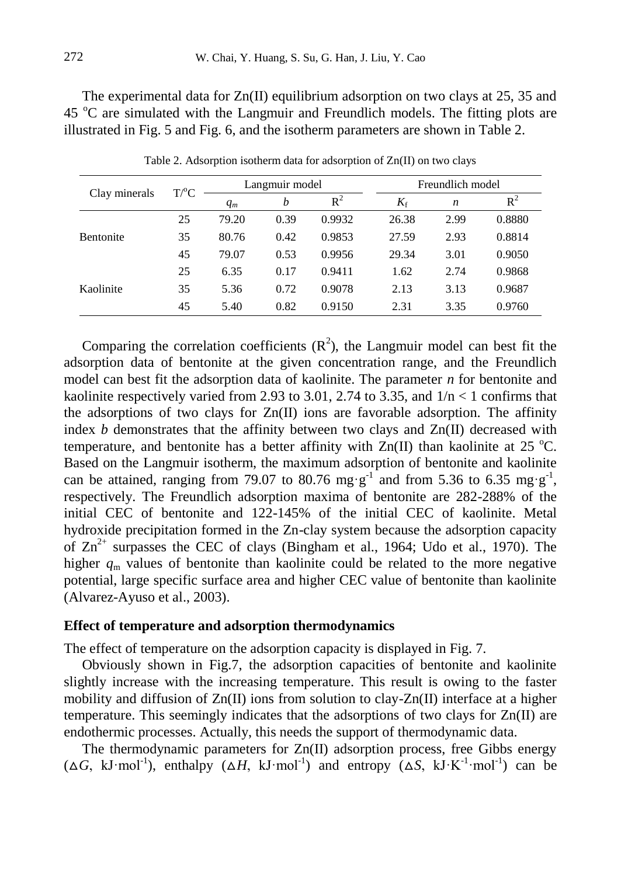The experimental data for  $Zn(II)$  equilibrium adsorption on two clays at 25, 35 and 45 °C are simulated with the Langmuir and Freundlich models. The fitting plots are illustrated in Fig. 5 and Fig. 6, and the isotherm parameters are shown in Table 2.

| Clay minerals    | $T$ <sup>o</sup> $C$ | Langmuir model |      |        | Freundlich model |      |        |
|------------------|----------------------|----------------|------|--------|------------------|------|--------|
|                  |                      | $q_m$          | b    | $R^2$  | $K_{\rm f}$      | n    | $R^2$  |
| <b>Bentonite</b> | 25                   | 79.20          | 0.39 | 0.9932 | 26.38            | 2.99 | 0.8880 |
|                  | 35                   | 80.76          | 0.42 | 0.9853 | 27.59            | 2.93 | 0.8814 |
|                  | 45                   | 79.07          | 0.53 | 0.9956 | 29.34            | 3.01 | 0.9050 |
|                  | 25                   | 6.35           | 0.17 | 0.9411 | 1.62             | 2.74 | 0.9868 |
| Kaolinite        | 35                   | 5.36           | 0.72 | 0.9078 | 2.13             | 3.13 | 0.9687 |
|                  | 45                   | 5.40           | 0.82 | 0.9150 | 2.31             | 3.35 | 0.9760 |

Table 2. Adsorption isotherm data for adsorption of Zn(II) on two clays

Comparing the correlation coefficients  $(R^2)$ , the Langmuir model can best fit the adsorption data of bentonite at the given concentration range, and the Freundlich model can best fit the adsorption data of kaolinite. The parameter *n* for bentonite and kaolinite respectively varied from 2.93 to 3.01, 2.74 to 3.35, and  $1/n < 1$  confirms that the adsorptions of two clays for  $Zn(II)$  ions are favorable adsorption. The affinity index  $b$  demonstrates that the affinity between two clays and  $Zn(II)$  decreased with temperature, and bentonite has a better affinity with  $Zn(\Pi)$  than kaolinite at 25 °C. Based on the Langmuir isotherm, the maximum adsorption of bentonite and kaolinite can be attained, ranging from 79.07 to 80.76 mg·g<sup>-1</sup> and from 5.36 to 6.35 mg·g<sup>-1</sup>, respectively. The Freundlich adsorption maxima of bentonite are 282-288% of the initial CEC of bentonite and 122-145% of the initial CEC of kaolinite. Metal hydroxide precipitation formed in the Zn-clay system because the adsorption capacity of  $Zn^{2+}$  surpasses the CEC of clays (Bingham et al., 1964; Udo et al., 1970). The higher  $q_m$  values of bentonite than kaolinite could be related to the more negative potential, large specific surface area and higher CEC value of bentonite than kaolinite (Alvarez-Ayuso et al., 2003).

### **Effect of temperature and adsorption thermodynamics**

The effect of temperature on the adsorption capacity is displayed in Fig. 7.

Obviously shown in Fig.7, the adsorption capacities of bentonite and kaolinite slightly increase with the increasing temperature. This result is owing to the faster mobility and diffusion of  $Zn(II)$  ions from solution to clay- $Zn(II)$  interface at a higher temperature. This seemingly indicates that the adsorptions of two clays for  $Zn(\Pi)$  are endothermic processes. Actually, this needs the support of thermodynamic data.

The thermodynamic parameters for  $Zn(II)$  adsorption process, free Gibbs energy  $(\Delta G, kJ \cdot mol^{-1})$ , enthalpy  $(\Delta H, kJ \cdot mol^{-1})$  and entropy  $(\Delta S, kJ \cdot K^{-1} \cdot mol^{-1})$  can be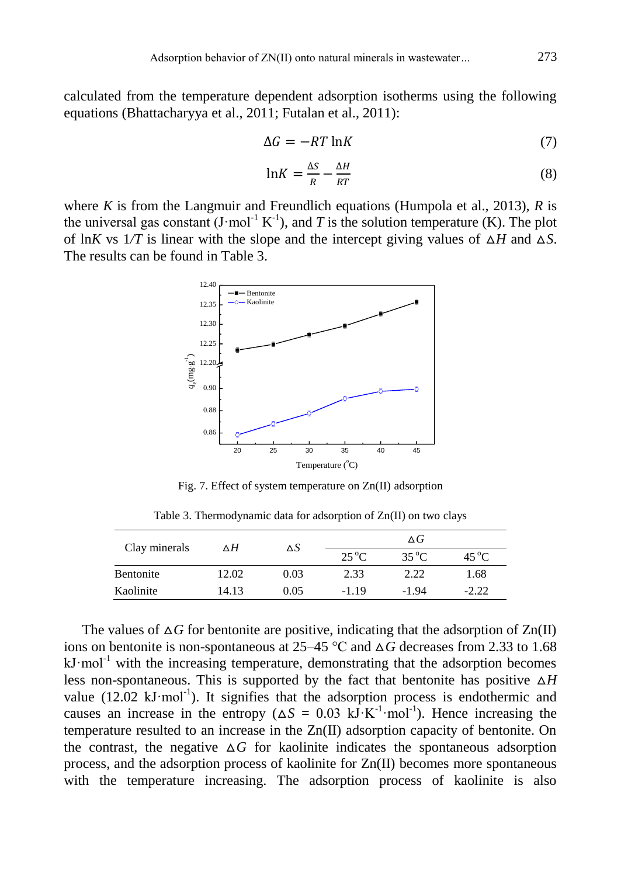calculated from the temperature dependent adsorption isotherms using the following equations (Bhattacharyya et al., 2011; Futalan et al., 2011):

$$
\Delta G = -RT \ln K \tag{7}
$$

$$
\ln K = \frac{\Delta S}{R} - \frac{\Delta H}{RT} \tag{8}
$$

where *K* is from the Langmuir and Freundlich equations (Humpola et al., 2013), *R* is the universal gas constant  $(J \text{·mol}^{-1} K^{-1})$ , and T is the solution temperature (K). The plot of ln*K* vs  $1/T$  is linear with the slope and the intercept giving values of  $\Delta H$  and  $\Delta S$ . The results can be found in Table 3.



Fig. 7. Effect of system temperature on Zn(II) adsorption

Table 3. Thermodynamic data for adsorption of Zn(II) on two clays

| Clay minerals | ΔH    | ΔS   | $\Delta G$     |                |                |  |
|---------------|-------|------|----------------|----------------|----------------|--|
|               |       |      | $25^{\circ}$ C | $35^{\circ}$ C | $45^{\circ}$ C |  |
| Bentonite     | 12.02 | 0.03 | 2.33           | 2.22           | 1.68           |  |
| Kaolinite     | 14.13 | 0.05 | $-1.19$        | $-1.94$        | $-2.22$        |  |

The values of  $\Delta G$  for bentonite are positive, indicating that the adsorption of  $\text{Zn(II)}$ ions on bentonite is non-spontaneous at 25–45  $\degree$ C and  $\triangle G$  decreases from 2.33 to 1.68  $kJ \cdot mol^{-1}$  with the increasing temperature, demonstrating that the adsorption becomes less non-spontaneous. This is supported by the fact that bentonite has positive  $\Delta H$ value  $(12.02 \text{ kJ·mol}^{-1})$ . It signifies that the adsorption process is endothermic and causes an increase in the entropy ( $\Delta S = 0.03$  kJ·K<sup>-1</sup>·mol<sup>-1</sup>). Hence increasing the temperature resulted to an increase in the Zn(II) adsorption capacity of bentonite. On the contrast, the negative  $\Delta G$  for kaolinite indicates the spontaneous adsorption process, and the adsorption process of kaolinite for Zn(II) becomes more spontaneous with the temperature increasing. The adsorption process of kaolinite is also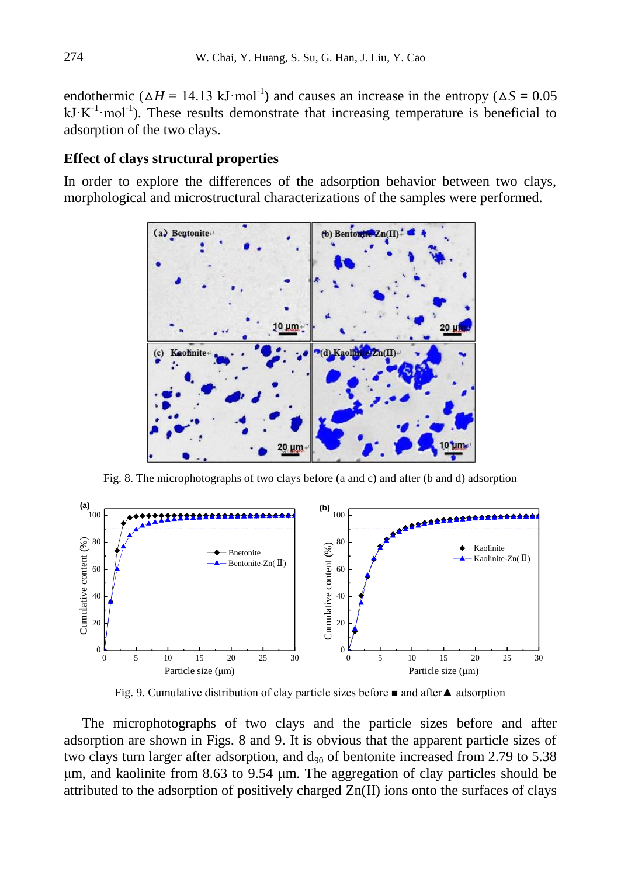endothermic ( $\Delta H = 14.13 \text{ kJ·mol}^{-1}$ ) and causes an increase in the entropy ( $\Delta S = 0.05$ )  $kJ \cdot K^{-1}$ ·mol<sup>-1</sup>). These results demonstrate that increasing temperature is beneficial to adsorption of the two clays.

#### **Effect of clays structural properties**

In order to explore the differences of the adsorption behavior between two clays, morphological and microstructural characterizations of the samples were performed.



Fig. 8. The microphotographs of two clays before (a and c) and after (b and d) adsorption



Fig. 9. Cumulative distribution of clay particle sizes before ■ and after▲ adsorption

The microphotographs of two clays and the particle sizes before and after adsorption are shown in Figs. 8 and 9. It is obvious that the apparent particle sizes of two clays turn larger after adsorption, and  $d_{90}$  of bentonite increased from 2.79 to 5.38 μm, and kaolinite from 8.63 to 9.54 μm. The aggregation of clay particles should be attributed to the adsorption of positively charged Zn(II) ions onto the surfaces of clays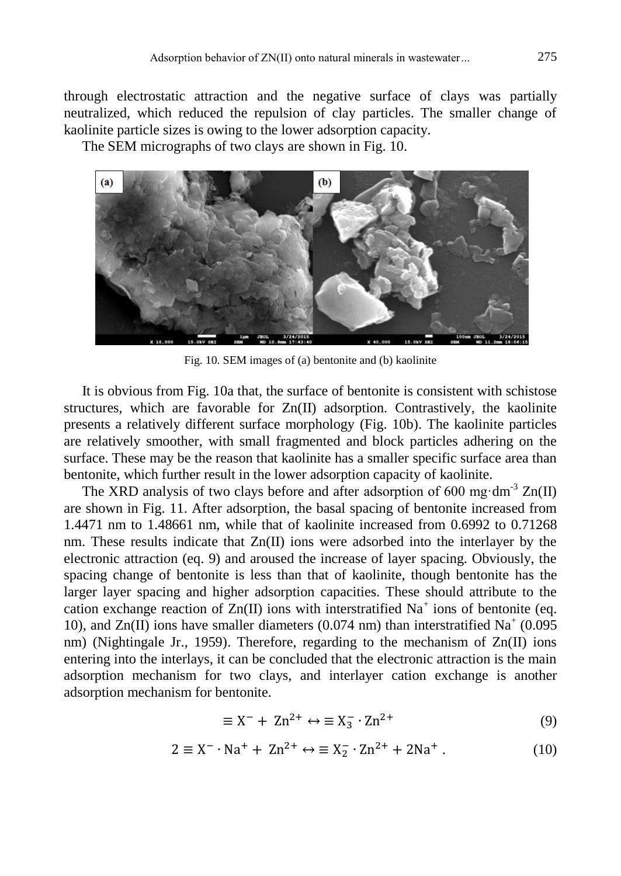through electrostatic attraction and the negative surface of clays was partially neutralized, which reduced the repulsion of clay particles. The smaller change of kaolinite particle sizes is owing to the lower adsorption capacity.

The SEM micrographs of two clays are shown in Fig. 10.



Fig. 10. SEM images of (a) bentonite and (b) kaolinite

It is obvious from Fig. 10a that, the surface of bentonite is consistent with schistose structures, which are favorable for Zn(II) adsorption. Contrastively, the kaolinite presents a relatively different surface morphology (Fig. 10b). The kaolinite particles are relatively smoother, with small fragmented and block particles adhering on the surface. These may be the reason that kaolinite has a smaller specific surface area than bentonite, which further result in the lower adsorption capacity of kaolinite.

The XRD analysis of two clays before and after adsorption of 600 mg·dm<sup>-3</sup>  $\text{Zn(II)}$ are shown in Fig. 11. After adsorption, the basal spacing of bentonite increased from 1.4471 nm to 1.48661 nm, while that of kaolinite increased from 0.6992 to 0.71268 nm. These results indicate that  $Zn(\Pi)$  ions were adsorbed into the interlayer by the electronic attraction (eq. 9) and aroused the increase of layer spacing. Obviously, the spacing change of bentonite is less than that of kaolinite, though bentonite has the larger layer spacing and higher adsorption capacities. These should attribute to the cation exchange reaction of  $Zn(II)$  ions with interstratified  $Na<sup>+</sup>$  ions of bentonite (eq. 10), and  $Zn(II)$  ions have smaller diameters (0.074 nm) than interstratified  $Na^+$  (0.095 nm) (Nightingale Jr., 1959). Therefore, regarding to the mechanism of  $Zn(II)$  ions entering into the interlays, it can be concluded that the electronic attraction is the main adsorption mechanism for two clays, and interlayer cation exchange is another adsorption mechanism for bentonite.

$$
\equiv X^- + Zn^{2+} \leftrightarrow \equiv X_3^- \cdot Zn^{2+} \tag{9}
$$

$$
2 \equiv X^{-} \cdot Na^{+} + Zn^{2+} \leftrightarrow \equiv X_{2}^{-} \cdot Zn^{2+} + 2Na^{+} \,. \tag{10}
$$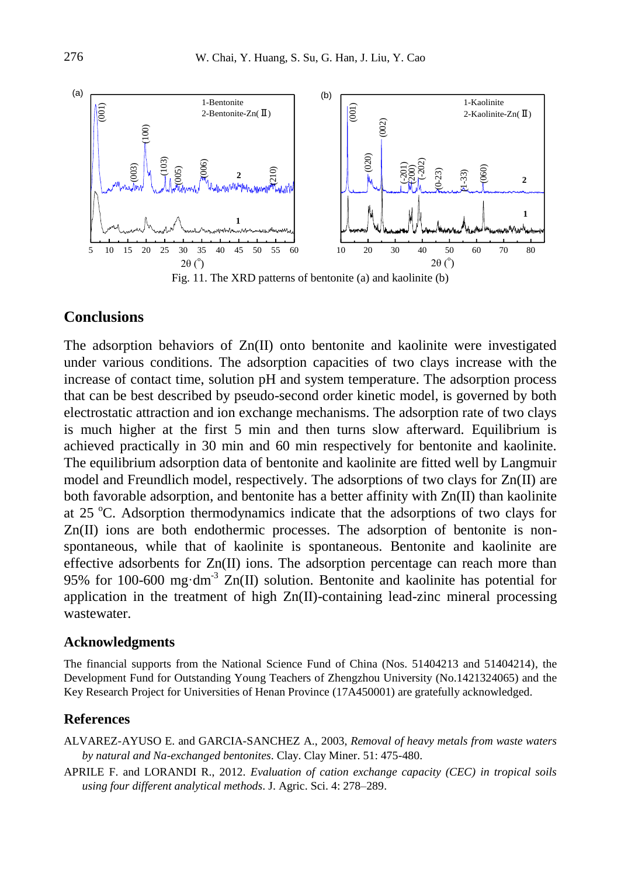

Fig. 11. The XRD patterns of bentonite (a) and kaolinite (b)

## **Conclusions**

The adsorption behaviors of Zn(II) onto bentonite and kaolinite were investigated under various conditions. The adsorption capacities of two clays increase with the increase of contact time, solution pH and system temperature. The adsorption process that can be best described by pseudo-second order kinetic model, is governed by both electrostatic attraction and ion exchange mechanisms. The adsorption rate of two clays is much higher at the first 5 min and then turns slow afterward. Equilibrium is achieved practically in 30 min and 60 min respectively for bentonite and kaolinite. The equilibrium adsorption data of bentonite and kaolinite are fitted well by Langmuir model and Freundlich model, respectively. The adsorptions of two clays for Zn(II) are both favorable adsorption, and bentonite has a better affinity with Zn(II) than kaolinite at 25  $^{\circ}$ C. Adsorption thermodynamics indicate that the adsorptions of two clays for Zn(II) ions are both endothermic processes. The adsorption of bentonite is nonspontaneous, while that of kaolinite is spontaneous. Bentonite and kaolinite are effective adsorbents for Zn(II) ions. The adsorption percentage can reach more than 95% for 100-600 mg·dm<sup>-3</sup>  $Zn(II)$  solution. Bentonite and kaolinite has potential for application in the treatment of high Zn(II)-containing lead-zinc mineral processing wastewater.

#### **Acknowledgments**

The financial supports from the National Science Fund of China (Nos. 51404213 and 51404214), the Development Fund for Outstanding Young Teachers of Zhengzhou University (No.1421324065) and the Key Research Project for Universities of Henan Province (17A450001) are gratefully acknowledged.

#### **References**

ALVAREZ-AYUSO E. and GARCIA-SANCHEZ A., 2003, *Removal of heavy metals from waste waters by natural and Na-exchanged bentonites*. Clay. Clay Miner. 51: 475-480.

APRILE F. and LORANDI R., 2012. *Evaluation of cation exchange capacity (CEC) in tropical soils using four different analytical methods*. J. Agric. Sci. 4: 278–289.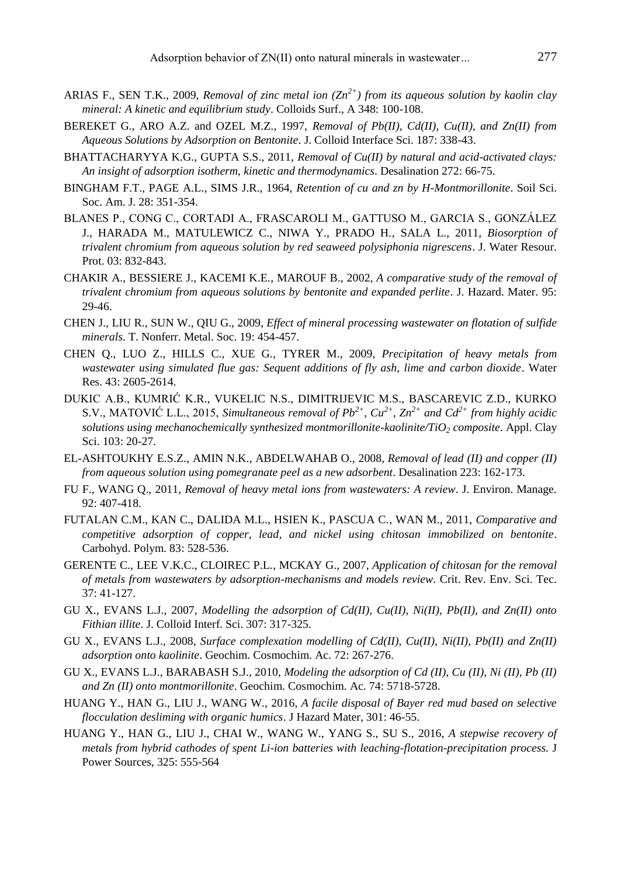- ARIAS F., SEN T.K., 2009, *Removal of zinc metal ion (Zn2+) from its aqueous solution by kaolin clay mineral: A kinetic and equilibrium study*. Colloids Surf., A 348: 100-108.
- BEREKET G., ARO A.Z. and OZEL M.Z., 1997, *Removal of Pb(II), Cd(II), Cu(II), and Zn(II) from Aqueous Solutions by Adsorption on Bentonite*. J. Colloid Interface Sci. 187: 338-43.
- BHATTACHARYYA K.G., GUPTA S.S., 2011, *Removal of Cu(II) by natural and acid-activated clays: An insight of adsorption isotherm, kinetic and thermodynamics*. Desalination 272: 66-75.
- BINGHAM F.T., PAGE A.L., SIMS J.R., 1964, *Retention of cu and zn by H-Montmorillonite*. Soil Sci. Soc. Am. J. 28: 351-354.
- BLANES P., CONG C., CORTADI A., FRASCAROLI M., GATTUSO M., GARCIA S., GONZÁLEZ J., HARADA M., MATULEWICZ C., NIWA Y., PRADO H., SALA L., 2011, *Biosorption of trivalent chromium from aqueous solution by red seaweed polysiphonia nigrescens*. J. Water Resour. Prot. 03: 832-843.
- CHAKIR A., BESSIERE J., KACEMI K.E., MAROUF B., 2002, *A comparative study of the removal of trivalent chromium from aqueous solutions by bentonite and expanded perlite*. J. Hazard. Mater. 95: 29-46.
- CHEN J., LIU R., SUN W., QIU G., 2009, *Effect of mineral processing wastewater on flotation of sulfide minerals*. T. Nonferr. Metal. Soc. 19: 454-457.
- CHEN Q., LUO Z., HILLS C., XUE G., TYRER M., 2009, *Precipitation of heavy metals from wastewater using simulated flue gas: Sequent additions of fly ash, lime and carbon dioxide*. Water Res. 43: 2605-2614.
- DUKIC A.B., KUMRIĆ K.R., VUKELIC N.S., DIMITRIJEVIC M.S., BASCAREVIC Z.D., KURKO S.V., MATOVIĆ L.L., 2015, *Simultaneous removal of*  $Pb^{2+}$ *,*  $Cu^{2+}$ *,*  $Zn^{2+}$  *and*  $Cd^{2+}$  *<i>from highly acidic solutions using mechanochemically synthesized montmorillonite-kaolinite/TiO<sup>2</sup> composite*. Appl. Clay Sci. 103: 20-27.
- EL-ASHTOUKHY E.S.Z., AMIN N.K., ABDELWAHAB O., 2008, *Removal of lead (II) and copper (II) from aqueous solution using pomegranate peel as a new adsorbent*. Desalination 223: 162-173.
- FU F., WANG Q., 2011, *Removal of heavy metal ions from wastewaters: A review*. J. Environ. Manage. 92: 407-418.
- FUTALAN C.M., KAN C., DALIDA M.L., HSIEN K., PASCUA C., WAN M., 2011, *Comparative and competitive adsorption of copper, lead, and nickel using chitosan immobilized on bentonite*. Carbohyd. Polym. 83: 528-536.
- GERENTE C., LEE V.K.C., CLOIREC P.L., MCKAY G., 2007, *Application of chitosan for the removal of metals from wastewaters by adsorption-mechanisms and models review*. Crit. Rev. Env. Sci. Tec. 37: 41-127.
- GU X., EVANS L.J., 2007, *Modelling the adsorption of Cd(II), Cu(II), Ni(II), Pb(II), and Zn(II) onto Fithian illite*. J. Colloid Interf. Sci. 307: 317-325.
- GU X., EVANS L.J., 2008, *Surface complexation modelling of Cd(II), Cu(II), Ni(II), Pb(II) and Zn(II) adsorption onto kaolinite*. Geochim. Cosmochim. Ac. 72: 267-276.
- GU X., EVANS L.J., BARABASH S.J., 2010, *Modeling the adsorption of Cd (II), Cu (II), Ni (II), Pb (II) and Zn (II) onto montmorillonite*. Geochim. Cosmochim. Ac. 74: 5718-5728.
- HUANG Y., HAN G., LIU J., WANG W., 2016, *A facile disposal of Bayer red mud based on selective flocculation desliming with organic humics*. J Hazard Mater, 301: 46-55.
- HUANG Y., HAN G., LIU J., CHAI W., WANG W., YANG S., SU S., 2016, *A stepwise recovery of metals from hybrid cathodes of spent Li-ion batteries with leaching-flotation-precipitation process.* J Power Sources, 325: 555-564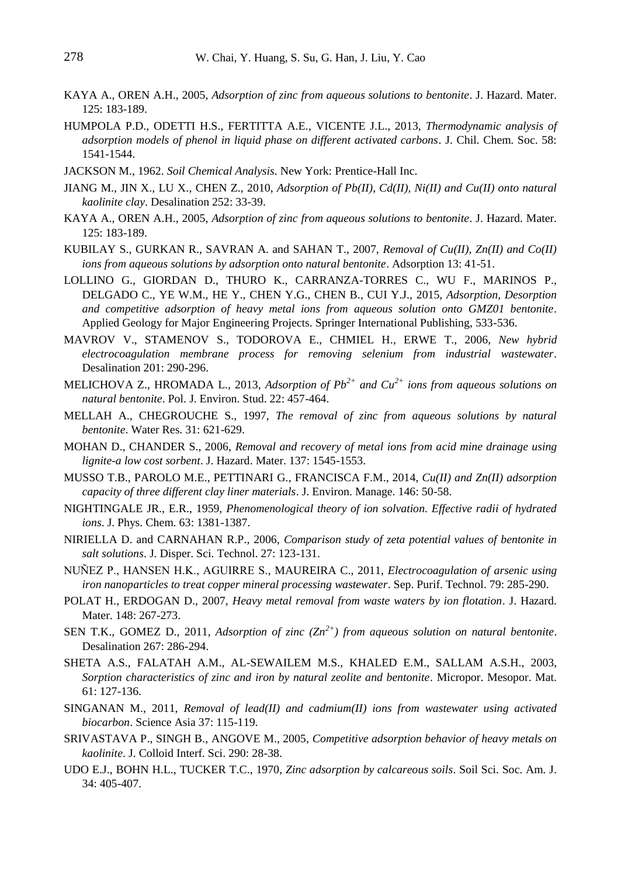- KAYA A., OREN A.H., 2005, *Adsorption of zinc from aqueous solutions to bentonite*. J. Hazard. Mater. 125: 183-189.
- HUMPOLA P.D., ODETTI H.S., FERTITTA A.E., VICENTE J.L., 2013, *Thermodynamic analysis of adsorption models of phenol in liquid phase on different activated carbons*. J. Chil. Chem. Soc. 58: 1541-1544.
- JACKSON M., 1962. *Soil Chemical Analysis*. New York: Prentice-Hall Inc.
- JIANG M., JIN X., LU X., CHEN Z., 2010, *Adsorption of Pb(II), Cd(II), Ni(II) and Cu(II) onto natural kaolinite clay*. Desalination 252: 33-39.
- KAYA A., OREN A.H., 2005, *Adsorption of zinc from aqueous solutions to bentonite*. J. Hazard. Mater. 125: 183-189.
- KUBILAY S., GURKAN R., SAVRAN A. and SAHAN T., 2007, *Removal of Cu(II), Zn(II) and Co(II) ions from aqueous solutions by adsorption onto natural bentonite*. Adsorption 13: 41-51.
- LOLLINO G., GIORDAN D., THURO K., CARRANZA-TORRES C., WU F., MARINOS P., DELGADO C., YE W.M., HE Y., CHEN Y.G., CHEN B., CUI Y.J., 2015, *Adsorption, Desorption and competitive adsorption of heavy metal ions from aqueous solution onto GMZ01 bentonite*. Applied Geology for Major Engineering Projects. Springer International Publishing, 533-536.
- MAVROV V., STAMENOV S., TODOROVA E., CHMIEL H., ERWE T., 2006, *New hybrid electrocoagulation membrane process for removing selenium from industrial wastewater*. Desalination 201: 290-296.
- MELICHOVA Z., HROMADA L., 2013, *Adsorption of Pb2+ and Cu2+ ions from aqueous solutions on natural bentonite*. Pol. J. Environ. Stud. 22: 457-464.
- MELLAH A., CHEGROUCHE S., 1997, *The removal of zinc from aqueous solutions by natural bentonite*. Water Res. 31: 621-629.
- MOHAN D., CHANDER S., 2006, *Removal and recovery of metal ions from acid mine drainage using lignite-a low cost sorbent*. J. Hazard. Mater. 137: 1545-1553.
- MUSSO T.B., PAROLO M.E., PETTINARI G., FRANCISCA F.M., 2014, *Cu(II) and Zn(II) adsorption capacity of three different clay liner materials*. J. Environ. Manage. 146: 50-58.
- NIGHTINGALE JR., E.R., 1959, *Phenomenological theory of ion solvation. Effective radii of hydrated ions*. J. Phys. Chem. 63: 1381-1387.
- NIRIELLA D. and CARNAHAN R.P., 2006, *Comparison study of zeta potential values of bentonite in salt solutions*. J. Disper. Sci. Technol. 27: 123-131.
- NUÑEZ P., HANSEN H.K., AGUIRRE S., MAUREIRA C., 2011, *Electrocoagulation of arsenic using iron nanoparticles to treat copper mineral processing wastewater*. Sep. Purif. Technol. 79: 285-290.
- POLAT H., ERDOGAN D., 2007, *Heavy metal removal from waste waters by ion flotation*. J. Hazard. Mater. 148: 267-273.
- SEN T.K., GOMEZ D., 2011, *Adsorption of zinc (Zn2+) from aqueous solution on natural bentonite*. Desalination 267: 286-294.
- SHETA A.S., FALATAH A.M., AL-SEWAILEM M.S., KHALED E.M., SALLAM A.S.H., 2003, *Sorption characteristics of zinc and iron by natural zeolite and bentonite*. Micropor. Mesopor. Mat. 61: 127-136.
- SINGANAN M., 2011, *Removal of lead(II) and cadmium(II) ions from wastewater using activated biocarbon*. Science Asia 37: 115-119.
- SRIVASTAVA P., SINGH B., ANGOVE M., 2005, *Competitive adsorption behavior of heavy metals on kaolinite*. J. Colloid Interf. Sci. 290: 28-38.
- UDO E.J., BOHN H.L., TUCKER T.C., 1970, *Zinc adsorption by calcareous soils*. Soil Sci. Soc. Am. J. 34: 405-407.